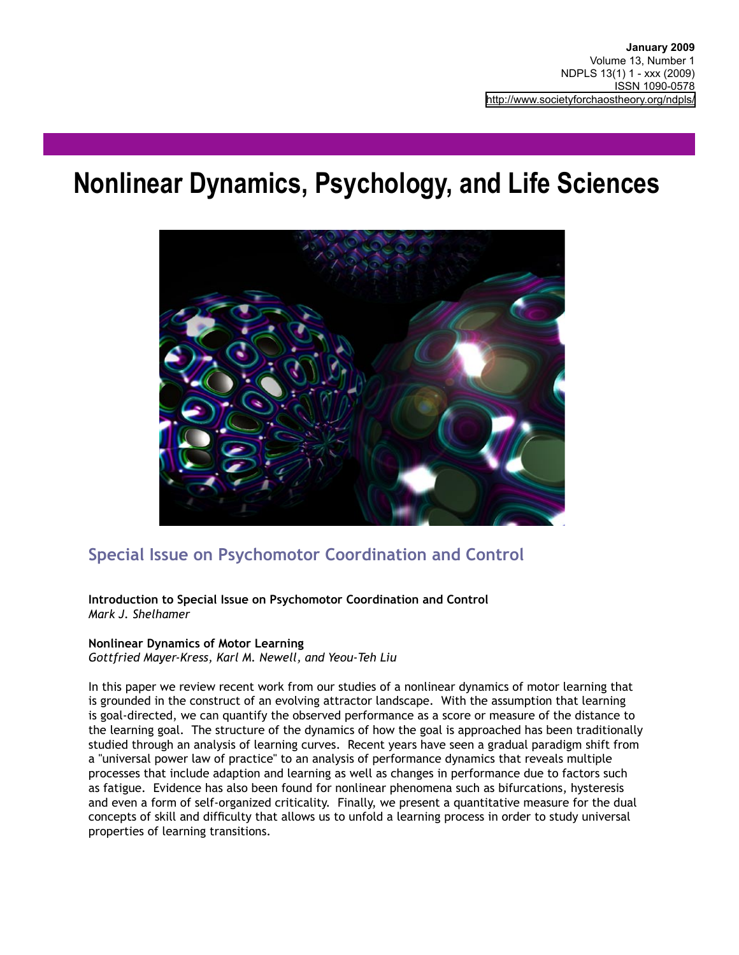# **Nonlinear Dynamics, Psychology, and Life Sciences**



# **Special Issue on Psychomotor Coordination and Control**

**Introduction to Special Issue on Psychomotor Coordination and Control** *Mark J. Shelhamer*

#### **Nonlinear Dynamics of Motor Learning**

*Gottfried Mayer-Kress, Karl M. Newell, and Yeou-Teh Liu*

In this paper we review recent work from our studies of a nonlinear dynamics of motor learning that is grounded in the construct of an evolving attractor landscape. With the assumption that learning is goal-directed, we can quantify the observed performance as a score or measure of the distance to the learning goal. The structure of the dynamics of how the goal is approached has been traditionally studied through an analysis of learning curves. Recent years have seen a gradual paradigm shift from a "universal power law of practice" to an analysis of performance dynamics that reveals multiple processes that include adaption and learning as well as changes in performance due to factors such as fatigue. Evidence has also been found for nonlinear phenomena such as bifurcations, hysteresis and even a form of self-organized criticality. Finally, we present a quantitative measure for the dual concepts of skill and difficulty that allows us to unfold a learning process in order to study universal properties of learning transitions.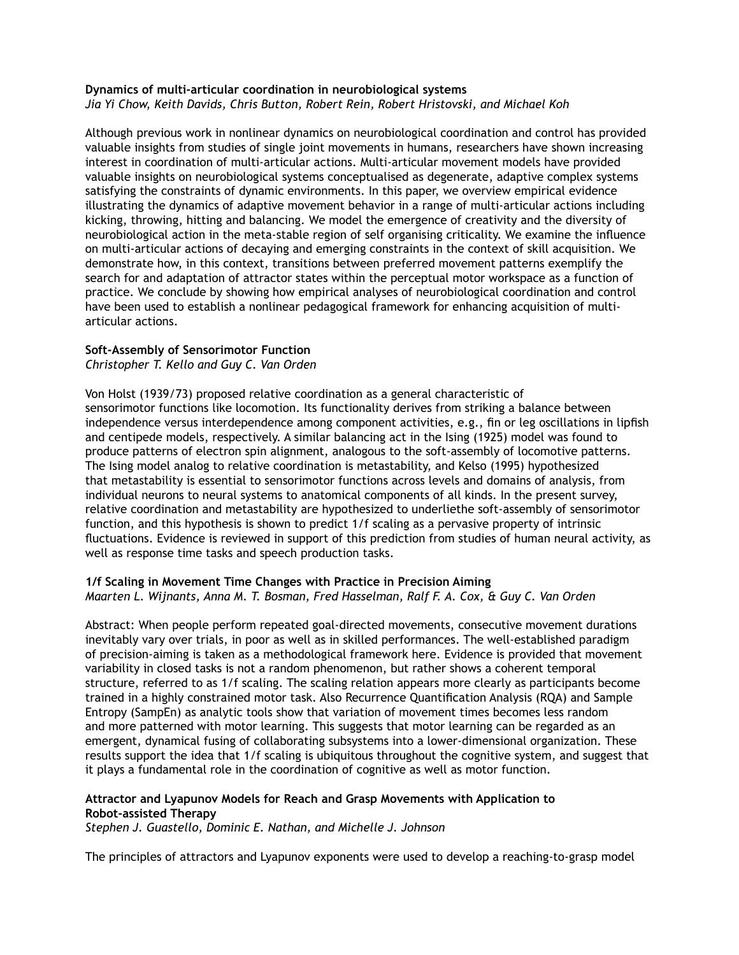#### **Dynamics of multi-articular coordination in neurobiological systems** *Jia Yi Chow, Keith Davids, Chris Button, Robert Rein, Robert Hristovski, and Michael Koh*

Although previous work in nonlinear dynamics on neurobiological coordination and control has provided valuable insights from studies of single joint movements in humans, researchers have shown increasing interest in coordination of multi-articular actions. Multi-articular movement models have provided valuable insights on neurobiological systems conceptualised as degenerate, adaptive complex systems satisfying the constraints of dynamic environments. In this paper, we overview empirical evidence illustrating the dynamics of adaptive movement behavior in a range of multi-articular actions including kicking, throwing, hitting and balancing. We model the emergence of creativity and the diversity of neurobiological action in the meta-stable region of self organising criticality. We examine the influence on multi-articular actions of decaying and emerging constraints in the context of skill acquisition. We demonstrate how, in this context, transitions between preferred movement patterns exemplify the search for and adaptation of attractor states within the perceptual motor workspace as a function of practice. We conclude by showing how empirical analyses of neurobiological coordination and control have been used to establish a nonlinear pedagogical framework for enhancing acquisition of multiarticular actions.

#### **Soft-Assembly of Sensorimotor Function**

# *Christopher T. Kello and Guy C. Van Orden*

Von Holst (1939/73) proposed relative coordination as a general characteristic of sensorimotor functions like locomotion. Its functionality derives from striking a balance between independence versus interdependence among component activities, e.g., fin or leg oscillations in lipfish and centipede models, respectively. A similar balancing act in the Ising (1925) model was found to produce patterns of electron spin alignment, analogous to the soft-assembly of locomotive patterns. The Ising model analog to relative coordination is metastability, and Kelso (1995) hypothesized that metastability is essential to sensorimotor functions across levels and domains of analysis, from individual neurons to neural systems to anatomical components of all kinds. In the present survey, relative coordination and metastability are hypothesized to underliethe soft-assembly of sensorimotor function, and this hypothesis is shown to predict 1/f scaling as a pervasive property of intrinsic fluctuations. Evidence is reviewed in support of this prediction from studies of human neural activity, as well as response time tasks and speech production tasks.

#### **1/f Scaling in Movement Time Changes with Practice in Precision Aiming** *Maarten L. Wijnants, Anna M. T. Bosman, Fred Hasselman, Ralf F. A. Cox, & Guy C. Van Orden*

Abstract: When people perform repeated goal-directed movements, consecutive movement durations inevitably vary over trials, in poor as well as in skilled performances. The well-established paradigm of precision-aiming is taken as a methodological framework here. Evidence is provided that movement variability in closed tasks is not a random phenomenon, but rather shows a coherent temporal structure, referred to as 1/f scaling. The scaling relation appears more clearly as participants become trained in a highly constrained motor task. Also Recurrence Quantification Analysis (RQA) and Sample Entropy (SampEn) as analytic tools show that variation of movement times becomes less random and more patterned with motor learning. This suggests that motor learning can be regarded as an emergent, dynamical fusing of collaborating subsystems into a lower-dimensional organization. These results support the idea that 1/f scaling is ubiquitous throughout the cognitive system, and suggest that it plays a fundamental role in the coordination of cognitive as well as motor function.

## **Attractor and Lyapunov Models for Reach and Grasp Movements with Application to Robot-assisted Therapy**

*Stephen J. Guastello, Dominic E. Nathan, and Michelle J. Johnson*

The principles of attractors and Lyapunov exponents were used to develop a reaching-to-grasp model